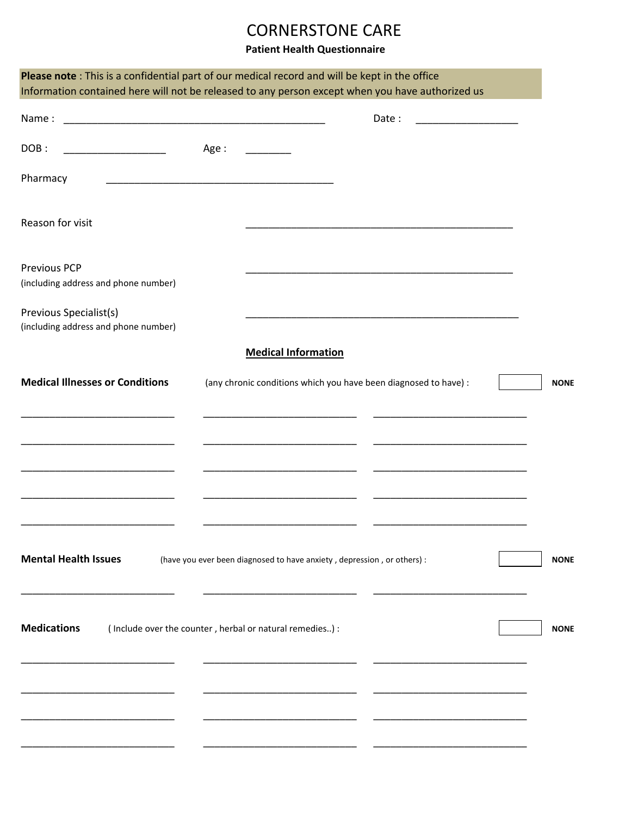## CORNERSTONE CARE

## **Patient Health Questionnaire**

| Please note: This is a confidential part of our medical record and will be kept in the office<br>Information contained here will not be released to any person except when you have authorized us |       |                                                                                                                                                                                                                                                                                                                                                                                                                        |                                                                                           |             |  |
|---------------------------------------------------------------------------------------------------------------------------------------------------------------------------------------------------|-------|------------------------------------------------------------------------------------------------------------------------------------------------------------------------------------------------------------------------------------------------------------------------------------------------------------------------------------------------------------------------------------------------------------------------|-------------------------------------------------------------------------------------------|-------------|--|
|                                                                                                                                                                                                   |       |                                                                                                                                                                                                                                                                                                                                                                                                                        | Date:                                                                                     |             |  |
| DOB:                                                                                                                                                                                              | Age : | $\begin{tabular}{ccccc} \multicolumn{2}{c }{\textbf{1} & \textbf{2} & \textbf{3} & \textbf{4} & \textbf{5} & \textbf{5} & \textbf{6} & \textbf{7} & \textbf{8} & \textbf{8} & \textbf{9} & \textbf{10} & \textbf{10} & \textbf{10} & \textbf{10} & \textbf{10} & \textbf{10} & \textbf{10} & \textbf{10} & \textbf{10} & \textbf{10} & \textbf{10} & \textbf{10} & \textbf{10} & \textbf{10} & \textbf{10} & \textbf{$ |                                                                                           |             |  |
| Pharmacy                                                                                                                                                                                          |       |                                                                                                                                                                                                                                                                                                                                                                                                                        |                                                                                           |             |  |
| Reason for visit                                                                                                                                                                                  |       |                                                                                                                                                                                                                                                                                                                                                                                                                        | the control of the control of the control of the control of the control of the control of |             |  |
| <b>Previous PCP</b><br>(including address and phone number)                                                                                                                                       |       |                                                                                                                                                                                                                                                                                                                                                                                                                        |                                                                                           |             |  |
| Previous Specialist(s)                                                                                                                                                                            |       |                                                                                                                                                                                                                                                                                                                                                                                                                        | the control of the control of the control of the control of the control of the control of |             |  |
| (including address and phone number)                                                                                                                                                              |       | <b>Medical Information</b>                                                                                                                                                                                                                                                                                                                                                                                             |                                                                                           |             |  |
| <b>Medical Illnesses or Conditions</b>                                                                                                                                                            |       | (any chronic conditions which you have been diagnosed to have) :                                                                                                                                                                                                                                                                                                                                                       |                                                                                           | <b>NONE</b> |  |
|                                                                                                                                                                                                   |       | the contract of the contract of the                                                                                                                                                                                                                                                                                                                                                                                    |                                                                                           |             |  |
|                                                                                                                                                                                                   |       |                                                                                                                                                                                                                                                                                                                                                                                                                        |                                                                                           |             |  |
|                                                                                                                                                                                                   |       | <u> 1980 - Jan Barbarat, manala</u>                                                                                                                                                                                                                                                                                                                                                                                    |                                                                                           |             |  |
|                                                                                                                                                                                                   |       |                                                                                                                                                                                                                                                                                                                                                                                                                        |                                                                                           |             |  |
| <b>Mental Health Issues</b>                                                                                                                                                                       |       | (have you ever been diagnosed to have anxiety, depression, or others) :                                                                                                                                                                                                                                                                                                                                                |                                                                                           | <b>NONE</b> |  |
| <b>Medications</b>                                                                                                                                                                                |       | (Include over the counter, herbal or natural remedies) :                                                                                                                                                                                                                                                                                                                                                               |                                                                                           | <b>NONE</b> |  |
|                                                                                                                                                                                                   |       |                                                                                                                                                                                                                                                                                                                                                                                                                        |                                                                                           |             |  |
|                                                                                                                                                                                                   |       |                                                                                                                                                                                                                                                                                                                                                                                                                        |                                                                                           |             |  |
|                                                                                                                                                                                                   |       |                                                                                                                                                                                                                                                                                                                                                                                                                        |                                                                                           |             |  |
|                                                                                                                                                                                                   |       |                                                                                                                                                                                                                                                                                                                                                                                                                        |                                                                                           |             |  |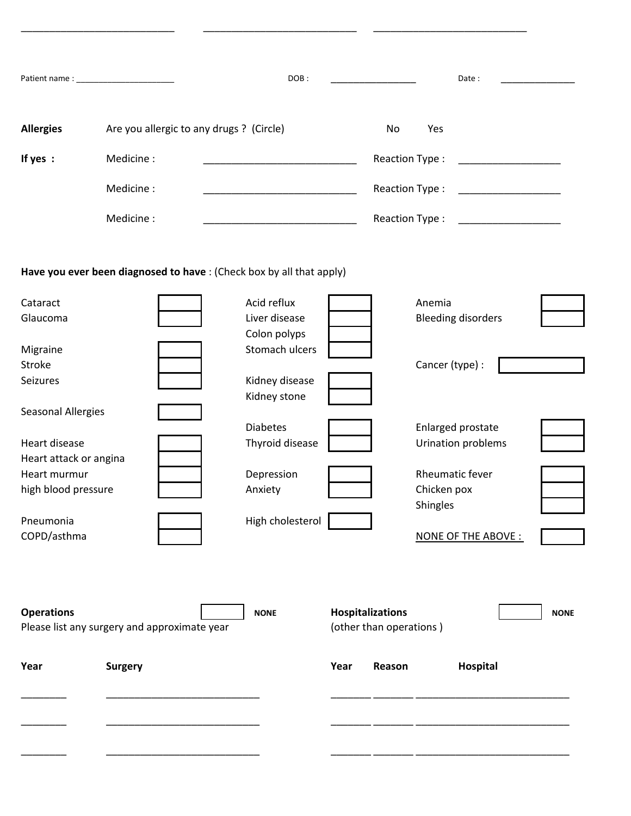|                           |                                              | DOB:                                                                                                                  |                         | Date:                                               |             |
|---------------------------|----------------------------------------------|-----------------------------------------------------------------------------------------------------------------------|-------------------------|-----------------------------------------------------|-------------|
| <b>Allergies</b>          | Are you allergic to any drugs ? (Circle)     |                                                                                                                       | No                      | Yes                                                 |             |
| If yes:                   | Medicine:                                    | <u> 1989 - Johann John Stone, markin film yn y sefydlu yn y sy'n y sy'n y sy'n y sy'n y sy'n y sy'n y sy'n y sy'n</u> |                         | Reaction Type:                                      |             |
|                           | Medicine:                                    |                                                                                                                       |                         | Reaction Type:                                      |             |
|                           | Medicine:                                    |                                                                                                                       |                         | Reaction Type:<br>the control of the control of the |             |
|                           |                                              | Have you ever been diagnosed to have : (Check box by all that apply)                                                  |                         |                                                     |             |
| Cataract                  |                                              | Acid reflux                                                                                                           |                         | Anemia                                              |             |
| Glaucoma                  |                                              | Liver disease                                                                                                         |                         | <b>Bleeding disorders</b>                           |             |
|                           |                                              | Colon polyps                                                                                                          |                         |                                                     |             |
| Migraine                  |                                              | Stomach ulcers                                                                                                        |                         |                                                     |             |
| Stroke                    |                                              |                                                                                                                       |                         | Cancer (type) :                                     |             |
| Seizures                  |                                              | Kidney disease                                                                                                        |                         |                                                     |             |
|                           |                                              | Kidney stone                                                                                                          |                         |                                                     |             |
| <b>Seasonal Allergies</b> |                                              |                                                                                                                       |                         |                                                     |             |
|                           |                                              | <b>Diabetes</b>                                                                                                       |                         | Enlarged prostate                                   |             |
| Heart disease             |                                              | Thyroid disease                                                                                                       |                         | Urination problems                                  |             |
| Heart attack or angina    |                                              |                                                                                                                       |                         |                                                     |             |
| Heart murmur              |                                              | Depression                                                                                                            |                         | Rheumatic fever                                     |             |
| high blood pressure       |                                              | Anxiety                                                                                                               |                         | Chicken pox                                         |             |
|                           |                                              |                                                                                                                       |                         | Shingles                                            |             |
| Pneumonia                 |                                              | High cholesterol                                                                                                      |                         |                                                     |             |
| COPD/asthma               |                                              |                                                                                                                       |                         | NONE OF THE ABOVE :                                 |             |
| <b>Operations</b>         |                                              | <b>NONE</b>                                                                                                           | Hospitalizations        |                                                     | <b>NONE</b> |
|                           | Please list any surgery and approximate year |                                                                                                                       | (other than operations) |                                                     |             |
| Year                      | <b>Surgery</b>                               |                                                                                                                       | Year<br>Reason          | Hospital                                            |             |
|                           |                                              |                                                                                                                       |                         |                                                     |             |
|                           |                                              |                                                                                                                       |                         |                                                     |             |
|                           |                                              |                                                                                                                       |                         |                                                     |             |

\_\_\_\_\_\_\_\_\_\_\_\_\_\_\_\_\_\_\_\_\_\_\_\_\_\_\_ \_\_\_\_\_\_\_\_\_\_\_\_\_\_\_\_\_\_\_\_\_\_\_\_\_\_\_ \_\_\_\_\_\_\_\_\_\_\_\_\_\_\_\_\_\_\_\_\_\_\_\_\_\_\_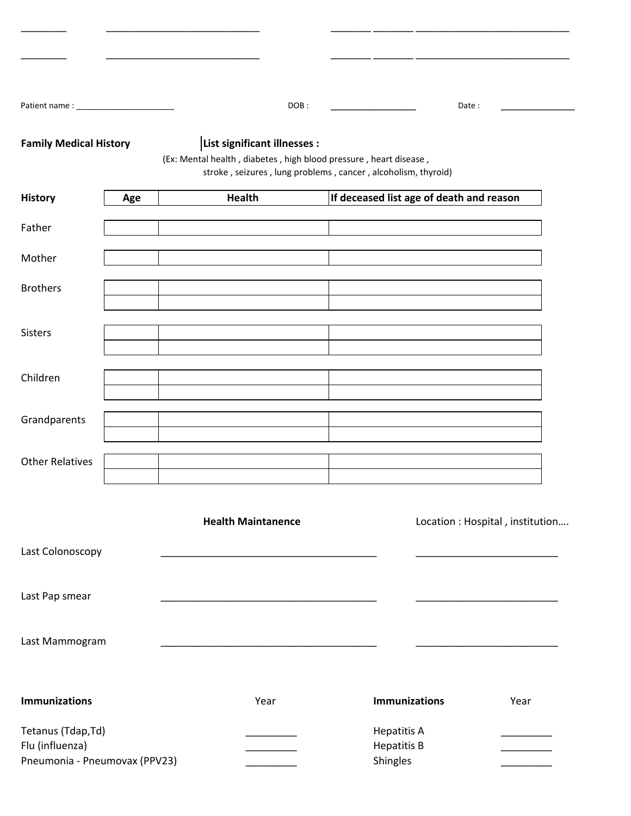|                                                                        |                              | DOB:                                                                                                                               | Date:                                                |      |
|------------------------------------------------------------------------|------------------------------|------------------------------------------------------------------------------------------------------------------------------------|------------------------------------------------------|------|
| <b>Family Medical History</b>                                          | List significant illnesses : | (Ex: Mental health, diabetes, high blood pressure, heart disease,<br>stroke, seizures, lung problems, cancer, alcoholism, thyroid) |                                                      |      |
| <b>History</b><br>Age                                                  | <b>Health</b>                |                                                                                                                                    | If deceased list age of death and reason             |      |
| Father                                                                 |                              |                                                                                                                                    |                                                      |      |
| Mother                                                                 |                              |                                                                                                                                    |                                                      |      |
| <b>Brothers</b>                                                        |                              |                                                                                                                                    |                                                      |      |
| <b>Sisters</b>                                                         |                              |                                                                                                                                    |                                                      |      |
| Children                                                               |                              |                                                                                                                                    |                                                      |      |
| Grandparents                                                           |                              |                                                                                                                                    |                                                      |      |
| <b>Other Relatives</b>                                                 |                              |                                                                                                                                    |                                                      |      |
|                                                                        | <b>Health Maintanence</b>    |                                                                                                                                    | Location : Hospital, institution                     |      |
| Last Colonoscopy                                                       |                              |                                                                                                                                    |                                                      |      |
| Last Pap smear                                                         |                              |                                                                                                                                    |                                                      |      |
| Last Mammogram                                                         |                              |                                                                                                                                    |                                                      |      |
| <b>Immunizations</b>                                                   |                              | Year                                                                                                                               | <b>Immunizations</b>                                 | Year |
| Tetanus (Tdap, Td)<br>Flu (influenza)<br>Pneumonia - Pneumovax (PPV23) |                              |                                                                                                                                    | <b>Hepatitis A</b><br><b>Hepatitis B</b><br>Shingles |      |

\_\_\_\_\_\_\_\_ \_\_\_\_\_\_\_\_\_\_\_\_\_\_\_\_\_\_\_\_\_\_\_\_\_\_\_ \_\_\_\_\_\_\_\_\_\_\_\_\_\_\_\_\_\_\_\_\_\_\_\_\_\_\_\_\_\_\_\_\_\_\_\_\_\_\_\_\_\_\_

\_\_\_\_\_\_\_\_ \_\_\_\_\_\_\_\_\_\_\_\_\_\_\_\_\_\_\_\_\_\_\_\_\_\_\_ \_\_\_\_\_\_\_\_\_\_\_\_\_\_\_\_\_\_\_\_\_\_\_\_\_\_\_\_\_\_\_\_\_\_\_\_\_\_\_\_\_\_\_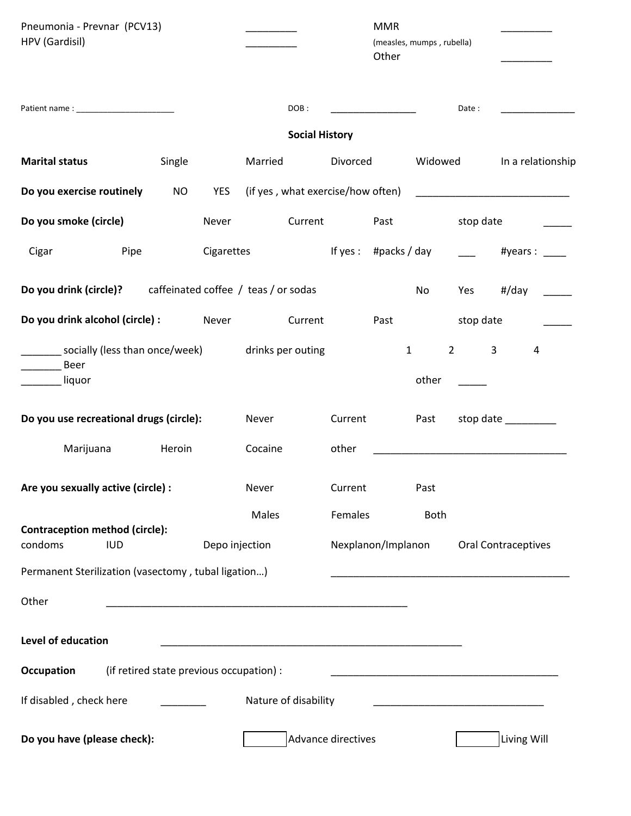| Pneumonia - Prevnar (PCV13)                                        |                                          |                |                                   |                       | <b>MMR</b>                              |             |                                                                                                                      |                            |  |
|--------------------------------------------------------------------|------------------------------------------|----------------|-----------------------------------|-----------------------|-----------------------------------------|-------------|----------------------------------------------------------------------------------------------------------------------|----------------------------|--|
| HPV (Gardisil)                                                     |                                          |                |                                   |                       | (measles, mumps, rubella)               |             |                                                                                                                      |                            |  |
|                                                                    |                                          |                |                                   |                       | Other                                   |             |                                                                                                                      |                            |  |
|                                                                    |                                          |                | DOB:                              |                       | <u> 1989 - Johann Barbara, martin a</u> |             | Date:                                                                                                                |                            |  |
|                                                                    |                                          |                |                                   | <b>Social History</b> |                                         |             |                                                                                                                      |                            |  |
| <b>Marital status</b>                                              | Single                                   |                | Married                           | Divorced              |                                         | Widowed     |                                                                                                                      | In a relationship          |  |
| Do you exercise routinely                                          | <b>NO</b>                                | YES            | (if yes, what exercise/how often) |                       |                                         |             |                                                                                                                      |                            |  |
| Do you smoke (circle)                                              |                                          | Never          | Current                           |                       | Past                                    |             | stop date                                                                                                            |                            |  |
| Pipe<br>Cigar                                                      |                                          | Cigarettes     |                                   | If $yes:$             | #packs / day                            |             |                                                                                                                      | #years : $\frac{1}{2}$     |  |
| <b>Do you drink (circle)?</b> caffeinated coffee / teas / or sodas |                                          |                |                                   |                       |                                         | No          | Yes                                                                                                                  | #/day                      |  |
| Do you drink alcohol (circle) :                                    |                                          | Never          | Current                           |                       | Past                                    |             | stop date                                                                                                            |                            |  |
| ___ socially (less than once/week)<br>Beer                         |                                          |                | drinks per outing                 |                       | $\mathbf{1}$                            |             | $2^{\circ}$<br>3                                                                                                     | $\overline{4}$             |  |
| liquor                                                             |                                          |                |                                   |                       |                                         | other       |                                                                                                                      |                            |  |
| Do you use recreational drugs (circle):                            |                                          |                | Never                             | Current               |                                         | Past        |                                                                                                                      | stop date __________       |  |
| Marijuana                                                          | Heroin                                   |                | Cocaine                           | other                 |                                         |             |                                                                                                                      |                            |  |
| Are you sexually active (circle) :                                 |                                          |                | Never                             | Current               |                                         | Past        |                                                                                                                      |                            |  |
|                                                                    |                                          |                | Males                             | Females               |                                         | <b>Both</b> |                                                                                                                      |                            |  |
| <b>Contraception method (circle):</b><br>condoms<br><b>IUD</b>     |                                          | Depo injection |                                   |                       | Nexplanon/Implanon                      |             |                                                                                                                      | <b>Oral Contraceptives</b> |  |
| Permanent Sterilization (vasectomy, tubal ligation)                |                                          |                |                                   |                       |                                         |             |                                                                                                                      |                            |  |
| Other                                                              |                                          |                |                                   |                       |                                         |             |                                                                                                                      |                            |  |
| Level of education                                                 |                                          |                |                                   |                       |                                         |             |                                                                                                                      |                            |  |
| Occupation                                                         | (if retired state previous occupation) : |                |                                   |                       |                                         |             | <u> 1989 - Johann Stein, mars an deutscher Stein und der Stein und der Stein und der Stein und der Stein und der</u> |                            |  |
| If disabled, check here                                            |                                          |                | Nature of disability              |                       |                                         |             |                                                                                                                      |                            |  |
| Do you have (please check):                                        |                                          |                |                                   | Advance directives    |                                         |             |                                                                                                                      | Living Will                |  |